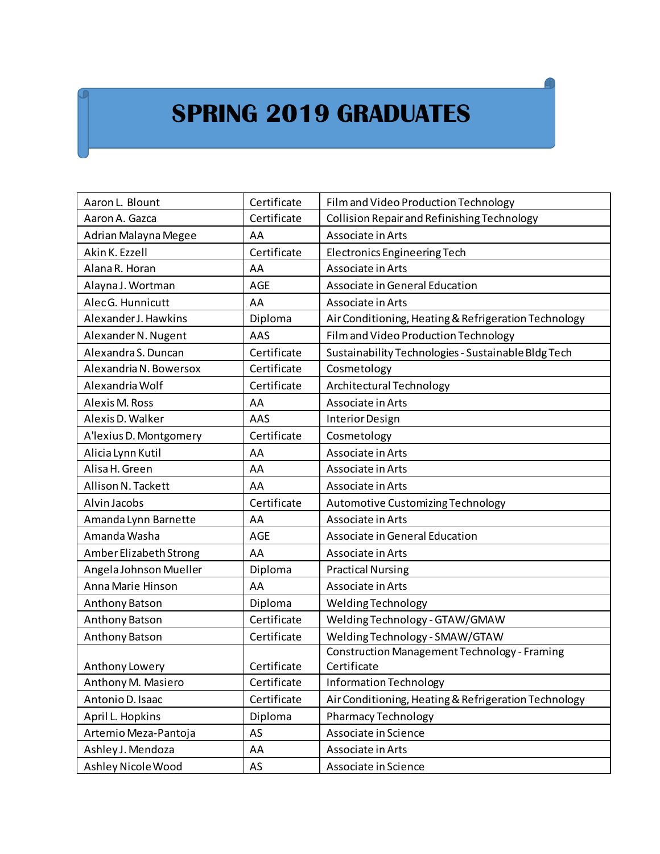## **SPRING 2019 GRADUATES**

| Aaron L. Blount        | Certificate | Film and Video Production Technology                 |
|------------------------|-------------|------------------------------------------------------|
| Aaron A. Gazca         | Certificate | Collision Repair and Refinishing Technology          |
| Adrian Malayna Megee   | AA          | Associate in Arts                                    |
| Akin K. Ezzell         | Certificate | <b>Electronics Engineering Tech</b>                  |
| Alana R. Horan         | AA          | Associate in Arts                                    |
| Alayna J. Wortman      | <b>AGE</b>  | Associate in General Education                       |
| Alec G. Hunnicutt      | AA          | Associate in Arts                                    |
| Alexander J. Hawkins   | Diploma     | Air Conditioning, Heating & Refrigeration Technology |
| Alexander N. Nugent    | AAS         | Film and Video Production Technology                 |
| Alexandra S. Duncan    | Certificate | Sustainability Technologies - Sustainable Bldg Tech  |
| Alexandria N. Bowersox | Certificate | Cosmetology                                          |
| Alexandria Wolf        | Certificate | Architectural Technology                             |
| Alexis M. Ross         | AA          | Associate in Arts                                    |
| Alexis D. Walker       | AAS         | Interior Design                                      |
| A'lexius D. Montgomery | Certificate | Cosmetology                                          |
| Alicia Lynn Kutil      | AA          | Associate in Arts                                    |
| Alisa H. Green         | AA          | Associate in Arts                                    |
| Allison N. Tackett     | AA          | Associate in Arts                                    |
| Alvin Jacobs           | Certificate | Automotive Customizing Technology                    |
| Amanda Lynn Barnette   | AA          | Associate in Arts                                    |
| Amanda Washa           | AGE         | Associate in General Education                       |
| Amber Elizabeth Strong | AA          | Associate in Arts                                    |
| Angela Johnson Mueller | Diploma     | <b>Practical Nursing</b>                             |
| Anna Marie Hinson      | AA          | Associate in Arts                                    |
| Anthony Batson         | Diploma     | Welding Technology                                   |
| Anthony Batson         | Certificate | Welding Technology - GTAW/GMAW                       |
| Anthony Batson         | Certificate | Welding Technology - SMAW/GTAW                       |
|                        |             | <b>Construction Management Technology - Framing</b>  |
| Anthony Lowery         | Certificate | Certificate                                          |
| Anthony M. Masiero     | Certificate | Information Technology                               |
| Antonio D. Isaac       | Certificate | Air Conditioning, Heating & Refrigeration Technology |
| April L. Hopkins       | Diploma     | <b>Pharmacy Technology</b>                           |
| Artemio Meza-Pantoja   | AS          | Associate in Science                                 |
| Ashley J. Mendoza      | AA          | Associate in Arts                                    |
| Ashley Nicole Wood     | AS          | Associate in Science                                 |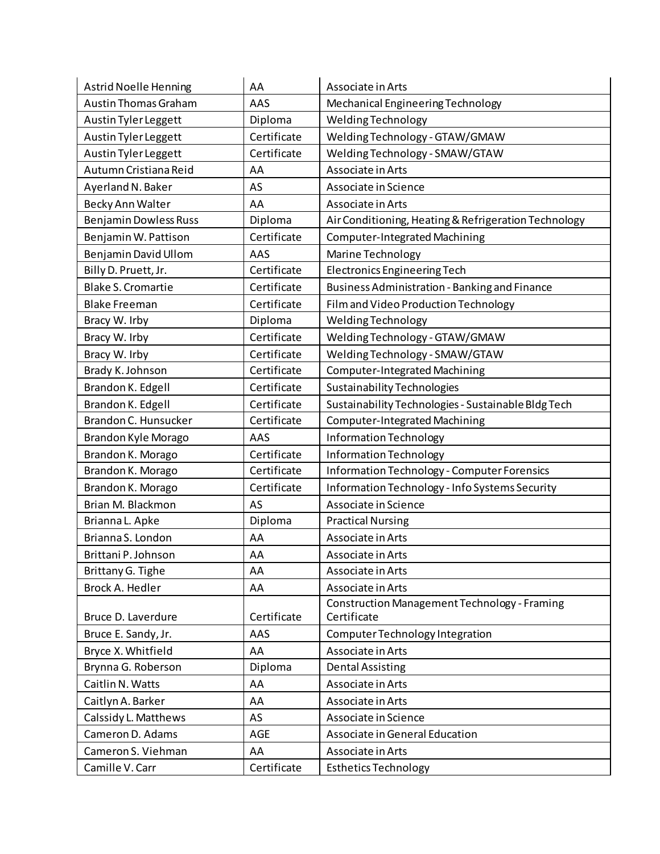| <b>Astrid Noelle Henning</b> | AA          | Associate in Arts                                    |
|------------------------------|-------------|------------------------------------------------------|
| <b>Austin Thomas Graham</b>  | AAS         | Mechanical Engineering Technology                    |
| Austin Tyler Leggett         | Diploma     | Welding Technology                                   |
| Austin Tyler Leggett         | Certificate | Welding Technology - GTAW/GMAW                       |
| Austin Tyler Leggett         | Certificate | Welding Technology - SMAW/GTAW                       |
| Autumn Cristiana Reid        | AA          | Associate in Arts                                    |
| Ayerland N. Baker            | AS          | Associate in Science                                 |
| Becky Ann Walter             | AA          | Associate in Arts                                    |
| <b>Benjamin Dowless Russ</b> | Diploma     | Air Conditioning, Heating & Refrigeration Technology |
| Benjamin W. Pattison         | Certificate | <b>Computer-Integrated Machining</b>                 |
| Benjamin David Ullom         | AAS         | Marine Technology                                    |
| Billy D. Pruett, Jr.         | Certificate | <b>Electronics Engineering Tech</b>                  |
| <b>Blake S. Cromartie</b>    | Certificate | Business Administration - Banking and Finance        |
| <b>Blake Freeman</b>         | Certificate | Film and Video Production Technology                 |
| Bracy W. Irby                | Diploma     | <b>Welding Technology</b>                            |
| Bracy W. Irby                | Certificate | Welding Technology - GTAW/GMAW                       |
| Bracy W. Irby                | Certificate | Welding Technology - SMAW/GTAW                       |
| Brady K. Johnson             | Certificate | <b>Computer-Integrated Machining</b>                 |
| Brandon K. Edgell            | Certificate | <b>Sustainability Technologies</b>                   |
| Brandon K. Edgell            | Certificate | Sustainability Technologies - Sustainable Bldg Tech  |
| Brandon C. Hunsucker         | Certificate | Computer-Integrated Machining                        |
| Brandon Kyle Morago          | AAS         | Information Technology                               |
| Brandon K. Morago            | Certificate | Information Technology                               |
| Brandon K. Morago            | Certificate | <b>Information Technology - Computer Forensics</b>   |
| Brandon K. Morago            | Certificate | Information Technology - Info Systems Security       |
| Brian M. Blackmon            | AS          | Associate in Science                                 |
| Brianna L. Apke              | Diploma     | <b>Practical Nursing</b>                             |
| Brianna S. London            | AA          | Associate in Arts                                    |
| Brittani P. Johnson          | AA          | Associate in Arts                                    |
| Brittany G. Tighe            | AA          | Associate in Arts                                    |
| Brock A. Hedler              | AA          | Associate in Arts                                    |
|                              |             | <b>Construction Management Technology - Framing</b>  |
| Bruce D. Laverdure           | Certificate | Certificate                                          |
| Bruce E. Sandy, Jr.          | AAS         | Computer Technology Integration                      |
| Bryce X. Whitfield           | AA          | Associate in Arts                                    |
| Brynna G. Roberson           | Diploma     | <b>Dental Assisting</b>                              |
| Caitlin N. Watts             | AA          | Associate in Arts                                    |
| Caitlyn A. Barker            | AA          | Associate in Arts                                    |
| Calssidy L. Matthews         | AS          | Associate in Science                                 |
| Cameron D. Adams             | AGE         | Associate in General Education                       |
| Cameron S. Viehman           | AA          | Associate in Arts                                    |
| Camille V. Carr              | Certificate | <b>Esthetics Technology</b>                          |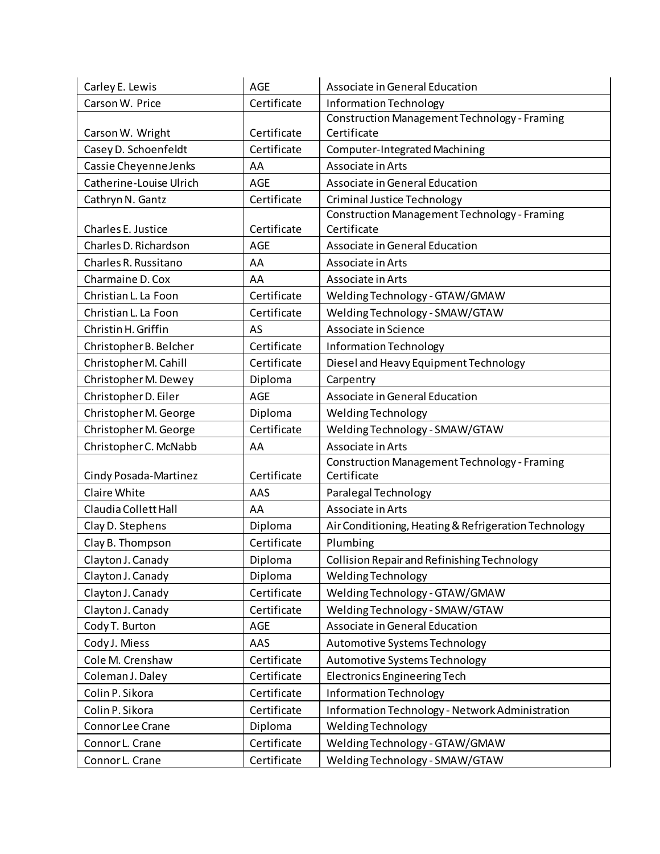| Carley E. Lewis         | <b>AGE</b>  | Associate in General Education                                     |
|-------------------------|-------------|--------------------------------------------------------------------|
| Carson W. Price         | Certificate | Information Technology                                             |
|                         |             | <b>Construction Management Technology - Framing</b>                |
| Carson W. Wright        | Certificate | Certificate                                                        |
| Casey D. Schoenfeldt    | Certificate | <b>Computer-Integrated Machining</b>                               |
| Cassie Cheyenne Jenks   | AA          | Associate in Arts                                                  |
| Catherine-Louise Ulrich | <b>AGE</b>  | Associate in General Education                                     |
| Cathryn N. Gantz        | Certificate | <b>Criminal Justice Technology</b>                                 |
|                         |             | <b>Construction Management Technology - Framing</b>                |
| Charles E. Justice      | Certificate | Certificate                                                        |
| Charles D. Richardson   | <b>AGE</b>  | Associate in General Education                                     |
| Charles R. Russitano    | AA          | Associate in Arts                                                  |
| Charmaine D. Cox        | AA          | Associate in Arts                                                  |
| Christian L. La Foon    | Certificate | Welding Technology - GTAW/GMAW                                     |
| Christian L. La Foon    | Certificate | Welding Technology - SMAW/GTAW                                     |
| Christin H. Griffin     | AS          | Associate in Science                                               |
| Christopher B. Belcher  | Certificate | Information Technology                                             |
| Christopher M. Cahill   | Certificate | Diesel and Heavy Equipment Technology                              |
| Christopher M. Dewey    | Diploma     | Carpentry                                                          |
| Christopher D. Eiler    | <b>AGE</b>  | Associate in General Education                                     |
| Christopher M. George   | Diploma     | Welding Technology                                                 |
| Christopher M. George   | Certificate | Welding Technology - SMAW/GTAW                                     |
| Christopher C. McNabb   | AA          | Associate in Arts                                                  |
| Cindy Posada-Martinez   | Certificate | <b>Construction Management Technology - Framing</b><br>Certificate |
| Claire White            | AAS         | Paralegal Technology                                               |
| Claudia Collett Hall    | AA          | Associate in Arts                                                  |
| Clay D. Stephens        | Diploma     | Air Conditioning, Heating & Refrigeration Technology               |
| Clay B. Thompson        | Certificate | Plumbing                                                           |
| Clayton J. Canady       | Diploma     | Collision Repair and Refinishing Technology                        |
| Clayton J. Canady       | Diploma     | Welding Technology                                                 |
| Clayton J. Canady       | Certificate | Welding Technology - GTAW/GMAW                                     |
| Clayton J. Canady       | Certificate | Welding Technology - SMAW/GTAW                                     |
| Cody T. Burton          | AGE         | Associate in General Education                                     |
| Cody J. Miess           | AAS         | Automotive Systems Technology                                      |
| Cole M. Crenshaw        | Certificate | Automotive Systems Technology                                      |
| Coleman J. Daley        | Certificate | <b>Electronics Engineering Tech</b>                                |
| Colin P. Sikora         | Certificate | <b>Information Technology</b>                                      |
| Colin P. Sikora         | Certificate | Information Technology - Network Administration                    |
| Connor Lee Crane        | Diploma     | Welding Technology                                                 |
| Connor L. Crane         | Certificate | Welding Technology - GTAW/GMAW                                     |
| Connor L. Crane         | Certificate | Welding Technology - SMAW/GTAW                                     |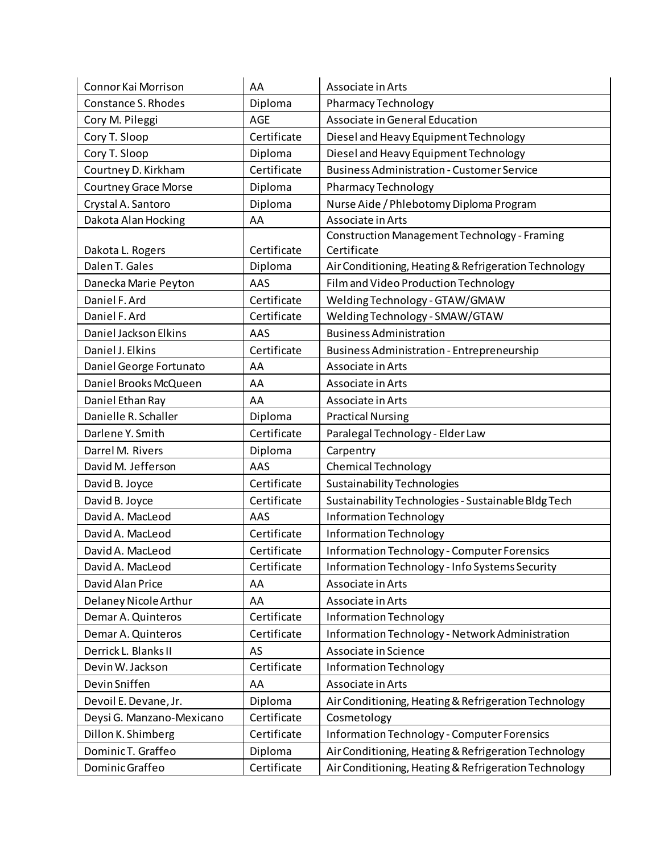| Connor Kai Morrison         | AA          | Associate in Arts                                                  |
|-----------------------------|-------------|--------------------------------------------------------------------|
| Constance S. Rhodes         | Diploma     | Pharmacy Technology                                                |
| Cory M. Pileggi             | <b>AGE</b>  | Associate in General Education                                     |
| Cory T. Sloop               | Certificate | Diesel and Heavy Equipment Technology                              |
| Cory T. Sloop               | Diploma     | Diesel and Heavy Equipment Technology                              |
| Courtney D. Kirkham         | Certificate | <b>Business Administration - Customer Service</b>                  |
| <b>Courtney Grace Morse</b> | Diploma     | Pharmacy Technology                                                |
| Crystal A. Santoro          | Diploma     | Nurse Aide / Phlebotomy Diploma Program                            |
| Dakota Alan Hocking         | AA          | Associate in Arts                                                  |
| Dakota L. Rogers            | Certificate | <b>Construction Management Technology - Framing</b><br>Certificate |
| Dalen T. Gales              | Diploma     | Air Conditioning, Heating & Refrigeration Technology               |
| Danecka Marie Peyton        | AAS         | Film and Video Production Technology                               |
| Daniel F. Ard               | Certificate | Welding Technology - GTAW/GMAW                                     |
| Daniel F. Ard               | Certificate | Welding Technology - SMAW/GTAW                                     |
| Daniel Jackson Elkins       | AAS         | <b>Business Administration</b>                                     |
| Daniel J. Elkins            | Certificate | <b>Business Administration - Entrepreneurship</b>                  |
| Daniel George Fortunato     | AA          | Associate in Arts                                                  |
| Daniel Brooks McQueen       | AA          | Associate in Arts                                                  |
| Daniel Ethan Ray            | AA          | Associate in Arts                                                  |
| Danielle R. Schaller        | Diploma     | <b>Practical Nursing</b>                                           |
| Darlene Y. Smith            | Certificate | Paralegal Technology - Elder Law                                   |
| Darrel M. Rivers            | Diploma     | Carpentry                                                          |
| David M. Jefferson          | AAS         | <b>Chemical Technology</b>                                         |
| David B. Joyce              | Certificate | <b>Sustainability Technologies</b>                                 |
| David B. Joyce              | Certificate | Sustainability Technologies - Sustainable Bldg Tech                |
| David A. MacLeod            | AAS         | Information Technology                                             |
| David A. MacLeod            | Certificate | Information Technology                                             |
| David A. MacLeod            | Certificate | Information Technology - Computer Forensics                        |
| David A. MacLeod            | Certificate | Information Technology - Info Systems Security                     |
| David Alan Price            | AA          | Associate in Arts                                                  |
| Delaney Nicole Arthur       | AA          | Associate in Arts                                                  |
| Demar A. Quinteros          | Certificate | Information Technology                                             |
| Demar A. Quinteros          | Certificate | Information Technology - Network Administration                    |
| Derrick L. Blanks II        | AS          | Associate in Science                                               |
| Devin W. Jackson            | Certificate | Information Technology                                             |
| Devin Sniffen               | AA          | Associate in Arts                                                  |
| Devoil E. Devane, Jr.       | Diploma     | Air Conditioning, Heating & Refrigeration Technology               |
| Deysi G. Manzano-Mexicano   | Certificate | Cosmetology                                                        |
| Dillon K. Shimberg          | Certificate | <b>Information Technology - Computer Forensics</b>                 |
| Dominic T. Graffeo          | Diploma     | Air Conditioning, Heating & Refrigeration Technology               |
| Dominic Graffeo             | Certificate | Air Conditioning, Heating & Refrigeration Technology               |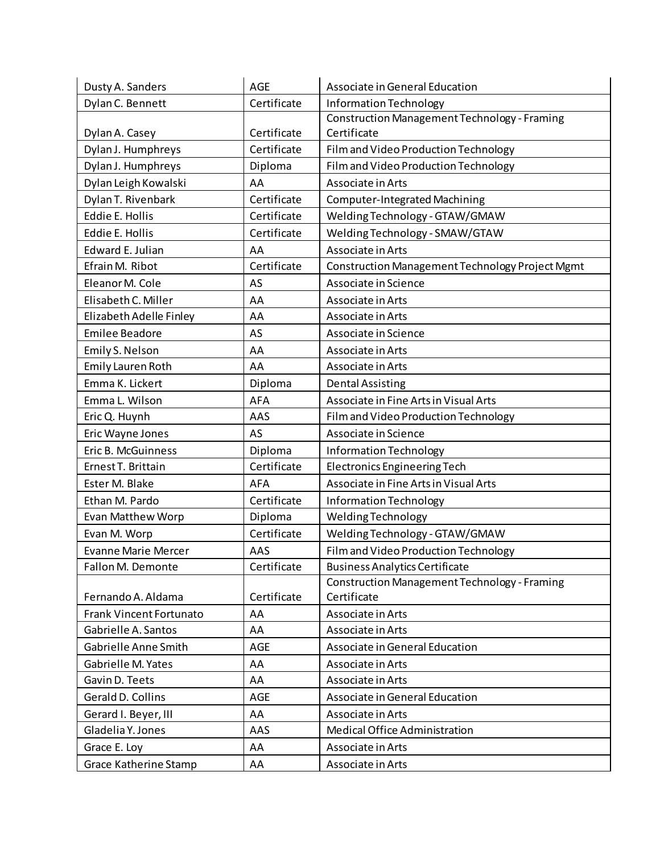| Dusty A. Sanders               | <b>AGE</b>  | Associate in General Education                      |
|--------------------------------|-------------|-----------------------------------------------------|
| Dylan C. Bennett               | Certificate | Information Technology                              |
|                                |             | <b>Construction Management Technology - Framing</b> |
| Dylan A. Casey                 | Certificate | Certificate                                         |
| Dylan J. Humphreys             | Certificate | Film and Video Production Technology                |
| Dylan J. Humphreys             | Diploma     | Film and Video Production Technology                |
| Dylan Leigh Kowalski           | AA          | Associate in Arts                                   |
| Dylan T. Rivenbark             | Certificate | <b>Computer-Integrated Machining</b>                |
| <b>Eddie E. Hollis</b>         | Certificate | Welding Technology - GTAW/GMAW                      |
| Eddie E. Hollis                | Certificate | Welding Technology - SMAW/GTAW                      |
| Edward E. Julian               | AA          | Associate in Arts                                   |
| Efrain M. Ribot                | Certificate | Construction Management Technology Project Mgmt     |
| Eleanor M. Cole                | AS          | Associate in Science                                |
| Elisabeth C. Miller            | AA          | Associate in Arts                                   |
| Elizabeth Adelle Finley        | AA          | Associate in Arts                                   |
| <b>Emilee Beadore</b>          | AS          | Associate in Science                                |
| Emily S. Nelson                | AA          | Associate in Arts                                   |
| Emily Lauren Roth              | AA          | Associate in Arts                                   |
| Emma K. Lickert                | Diploma     | <b>Dental Assisting</b>                             |
| Emma L. Wilson                 | AFA         | Associate in Fine Arts in Visual Arts               |
| Eric Q. Huynh                  | AAS         | Film and Video Production Technology                |
| Eric Wayne Jones               | AS          | Associate in Science                                |
| Eric B. McGuinness             | Diploma     | Information Technology                              |
| Ernest T. Brittain             | Certificate | <b>Electronics Engineering Tech</b>                 |
| Ester M. Blake                 | <b>AFA</b>  | Associate in Fine Arts in Visual Arts               |
| Ethan M. Pardo                 | Certificate | Information Technology                              |
| Evan Matthew Worp              | Diploma     | Welding Technology                                  |
| Evan M. Worp                   | Certificate | Welding Technology - GTAW/GMAW                      |
| <b>Evanne Marie Mercer</b>     | AAS         | Film and Video Production Technology                |
| Fallon M. Demonte              | Certificate | <b>Business Analytics Certificate</b>               |
|                                |             | <b>Construction Management Technology - Framing</b> |
| Fernando A. Aldama             | Certificate | Certificate                                         |
| <b>Frank Vincent Fortunato</b> | AA          | Associate in Arts                                   |
| Gabrielle A. Santos            | AA          | Associate in Arts                                   |
| Gabrielle Anne Smith           | <b>AGE</b>  | Associate in General Education                      |
| Gabrielle M. Yates             | AA          | Associate in Arts                                   |
| Gavin D. Teets                 | AA          | Associate in Arts                                   |
| Gerald D. Collins              | AGE         | Associate in General Education                      |
| Gerard I. Beyer, III           | AA          | Associate in Arts                                   |
| Gladelia Y. Jones              | AAS         | Medical Office Administration                       |
| Grace E. Loy                   | AA          | Associate in Arts                                   |
| <b>Grace Katherine Stamp</b>   | AA          | Associate in Arts                                   |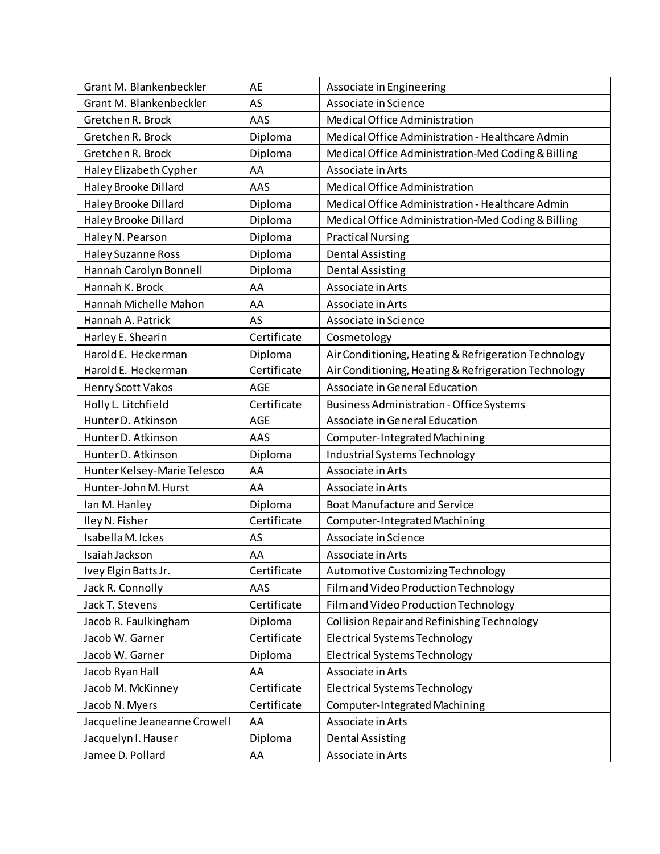| Grant M. Blankenbeckler      | AE          | Associate in Engineering                             |
|------------------------------|-------------|------------------------------------------------------|
| Grant M. Blankenbeckler      | AS          | Associate in Science                                 |
| Gretchen R. Brock            | AAS         | Medical Office Administration                        |
| Gretchen R. Brock            | Diploma     | Medical Office Administration - Healthcare Admin     |
| Gretchen R. Brock            | Diploma     | Medical Office Administration-Med Coding & Billing   |
| Haley Elizabeth Cypher       | AA          | Associate in Arts                                    |
| Haley Brooke Dillard         | AAS         | Medical Office Administration                        |
| Haley Brooke Dillard         | Diploma     | Medical Office Administration - Healthcare Admin     |
| Haley Brooke Dillard         | Diploma     | Medical Office Administration-Med Coding & Billing   |
| Haley N. Pearson             | Diploma     | <b>Practical Nursing</b>                             |
| Haley Suzanne Ross           | Diploma     | <b>Dental Assisting</b>                              |
| Hannah Carolyn Bonnell       | Diploma     | <b>Dental Assisting</b>                              |
| Hannah K. Brock              | AA          | Associate in Arts                                    |
| Hannah Michelle Mahon        | AA          | Associate in Arts                                    |
| Hannah A. Patrick            | AS          | Associate in Science                                 |
| Harley E. Shearin            | Certificate | Cosmetology                                          |
| Harold E. Heckerman          | Diploma     | Air Conditioning, Heating & Refrigeration Technology |
| Harold E. Heckerman          | Certificate | Air Conditioning, Heating & Refrigeration Technology |
| Henry Scott Vakos            | AGE         | Associate in General Education                       |
| Holly L. Litchfield          | Certificate | <b>Business Administration - Office Systems</b>      |
| Hunter D. Atkinson           | <b>AGE</b>  | Associate in General Education                       |
| Hunter D. Atkinson           | AAS         | Computer-Integrated Machining                        |
| Hunter D. Atkinson           | Diploma     | Industrial Systems Technology                        |
| Hunter Kelsey-Marie Telesco  | AA          | Associate in Arts                                    |
| Hunter-John M. Hurst         | AA          | Associate in Arts                                    |
| Ian M. Hanley                | Diploma     | <b>Boat Manufacture and Service</b>                  |
| Iley N. Fisher               | Certificate | <b>Computer-Integrated Machining</b>                 |
| Isabella M. Ickes            | AS          | Associate in Science                                 |
| Isaiah Jackson               | AA          | Associate in Arts                                    |
| Ivey Elgin Batts Jr.         | Certificate | Automotive Customizing Technology                    |
| Jack R. Connolly             | AAS         | Film and Video Production Technology                 |
| Jack T. Stevens              | Certificate | Film and Video Production Technology                 |
| Jacob R. Faulkingham         | Diploma     | Collision Repair and Refinishing Technology          |
| Jacob W. Garner              | Certificate | <b>Electrical Systems Technology</b>                 |
| Jacob W. Garner              | Diploma     | <b>Electrical Systems Technology</b>                 |
| Jacob Ryan Hall              | AA          | Associate in Arts                                    |
| Jacob M. McKinney            | Certificate | Electrical Systems Technology                        |
| Jacob N. Myers               | Certificate | Computer-Integrated Machining                        |
| Jacqueline Jeaneanne Crowell | AA          | Associate in Arts                                    |
| Jacquelyn I. Hauser          | Diploma     | <b>Dental Assisting</b>                              |
| Jamee D. Pollard             | AA          | Associate in Arts                                    |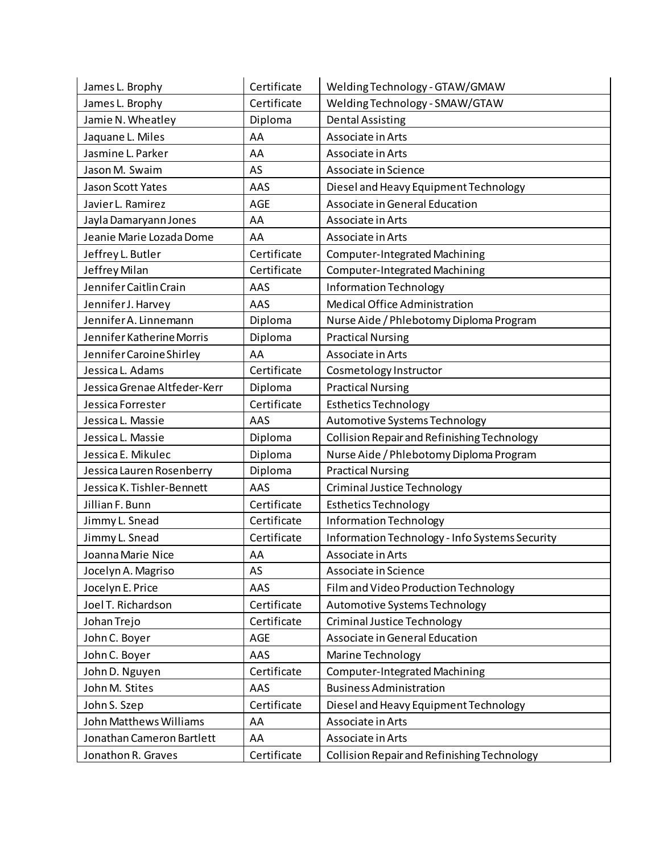| James L. Brophy              | Certificate | Welding Technology - GTAW/GMAW                 |
|------------------------------|-------------|------------------------------------------------|
| James L. Brophy              | Certificate | Welding Technology - SMAW/GTAW                 |
| Jamie N. Wheatley            | Diploma     | <b>Dental Assisting</b>                        |
| Jaquane L. Miles             | AA          | Associate in Arts                              |
| Jasmine L. Parker            | AA          | Associate in Arts                              |
| Jason M. Swaim               | AS          | Associate in Science                           |
| Jason Scott Yates            | AAS         | Diesel and Heavy Equipment Technology          |
| Javier L. Ramirez            | AGE         | Associate in General Education                 |
| Jayla Damaryann Jones        | AA          | Associate in Arts                              |
| Jeanie Marie Lozada Dome     | AA          | Associate in Arts                              |
| Jeffrey L. Butler            | Certificate | <b>Computer-Integrated Machining</b>           |
| Jeffrey Milan                | Certificate | Computer-Integrated Machining                  |
| Jennifer Caitlin Crain       | AAS         | Information Technology                         |
| Jennifer J. Harvey           | AAS         | Medical Office Administration                  |
| Jennifer A. Linnemann        | Diploma     | Nurse Aide / Phlebotomy Diploma Program        |
| Jennifer Katherine Morris    | Diploma     | <b>Practical Nursing</b>                       |
| Jennifer Caroine Shirley     | AA          | Associate in Arts                              |
| Jessica L. Adams             | Certificate | Cosmetology Instructor                         |
| Jessica Grenae Altfeder-Kerr | Diploma     | <b>Practical Nursing</b>                       |
| Jessica Forrester            | Certificate | <b>Esthetics Technology</b>                    |
| Jessica L. Massie            | AAS         | Automotive Systems Technology                  |
| Jessica L. Massie            | Diploma     | Collision Repair and Refinishing Technology    |
| Jessica E. Mikulec           | Diploma     | Nurse Aide / Phlebotomy Diploma Program        |
| Jessica Lauren Rosenberry    | Diploma     | <b>Practical Nursing</b>                       |
| Jessica K. Tishler-Bennett   | AAS         | <b>Criminal Justice Technology</b>             |
| Jillian F. Bunn              | Certificate | <b>Esthetics Technology</b>                    |
| Jimmy L. Snead               | Certificate | <b>Information Technology</b>                  |
| Jimmy L. Snead               | Certificate | Information Technology - Info Systems Security |
| Joanna Marie Nice            | AA          | Associate in Arts                              |
| Jocelyn A. Magriso           | AS          | Associate in Science                           |
| Jocelyn E. Price             | AAS         | Film and Video Production Technology           |
| Joel T. Richardson           | Certificate | Automotive Systems Technology                  |
| Johan Trejo                  | Certificate | Criminal Justice Technology                    |
| John C. Boyer                | AGE         | Associate in General Education                 |
| John C. Boyer                | AAS         | Marine Technology                              |
| John D. Nguyen               | Certificate | <b>Computer-Integrated Machining</b>           |
| John M. Stites               | AAS         | <b>Business Administration</b>                 |
| John S. Szep                 | Certificate | Diesel and Heavy Equipment Technology          |
| John Matthews Williams       | AA          | Associate in Arts                              |
| Jonathan Cameron Bartlett    | AA          | Associate in Arts                              |
| Jonathon R. Graves           | Certificate | Collision Repair and Refinishing Technology    |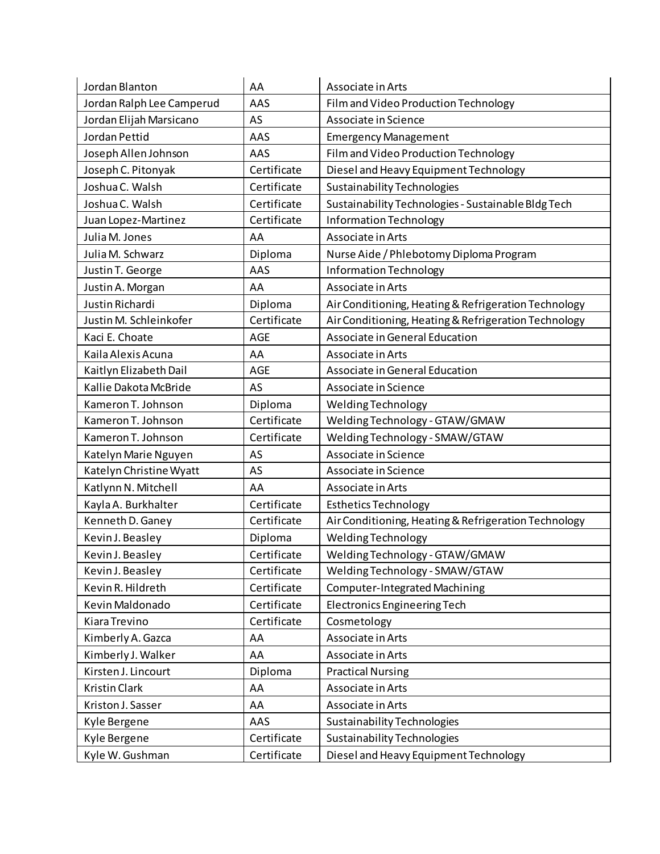| Jordan Blanton            | AA          | Associate in Arts                                    |
|---------------------------|-------------|------------------------------------------------------|
| Jordan Ralph Lee Camperud | AAS         | Film and Video Production Technology                 |
| Jordan Elijah Marsicano   | AS          | Associate in Science                                 |
| Jordan Pettid             | AAS         | <b>Emergency Management</b>                          |
| Joseph Allen Johnson      | AAS         | Film and Video Production Technology                 |
| Joseph C. Pitonyak        | Certificate | Diesel and Heavy Equipment Technology                |
| Joshua C. Walsh           | Certificate | <b>Sustainability Technologies</b>                   |
| Joshua C. Walsh           | Certificate | Sustainability Technologies - Sustainable Bldg Tech  |
| Juan Lopez-Martinez       | Certificate | Information Technology                               |
| Julia M. Jones            | AA          | Associate in Arts                                    |
| Julia M. Schwarz          | Diploma     | Nurse Aide / Phlebotomy Diploma Program              |
| Justin T. George          | AAS         | Information Technology                               |
| Justin A. Morgan          | AA          | Associate in Arts                                    |
| Justin Richardi           | Diploma     | Air Conditioning, Heating & Refrigeration Technology |
| Justin M. Schleinkofer    | Certificate | Air Conditioning, Heating & Refrigeration Technology |
| Kaci E. Choate            | <b>AGE</b>  | Associate in General Education                       |
| Kaila Alexis Acuna        | AA          | Associate in Arts                                    |
| Kaitlyn Elizabeth Dail    | <b>AGE</b>  | Associate in General Education                       |
| Kallie Dakota McBride     | AS          | Associate in Science                                 |
| Kameron T. Johnson        | Diploma     | Welding Technology                                   |
| Kameron T. Johnson        | Certificate | Welding Technology - GTAW/GMAW                       |
| Kameron T. Johnson        | Certificate | Welding Technology - SMAW/GTAW                       |
| Katelyn Marie Nguyen      | AS          | Associate in Science                                 |
| Katelyn Christine Wyatt   | AS          | Associate in Science                                 |
| Katlynn N. Mitchell       | AA          | Associate in Arts                                    |
| Kayla A. Burkhalter       | Certificate | <b>Esthetics Technology</b>                          |
| Kenneth D. Ganey          | Certificate | Air Conditioning, Heating & Refrigeration Technology |
| Kevin J. Beasley          | Diploma     | Welding Technology                                   |
| Kevin J. Beasley          | Certificate | Welding Technology - GTAW/GMAW                       |
| Kevin J. Beasley          | Certificate | Welding Technology - SMAW/GTAW                       |
| Kevin R. Hildreth         | Certificate | <b>Computer-Integrated Machining</b>                 |
| Kevin Maldonado           | Certificate | <b>Electronics Engineering Tech</b>                  |
| Kiara Trevino             | Certificate | Cosmetology                                          |
| Kimberly A. Gazca         | AA          | Associate in Arts                                    |
| Kimberly J. Walker        | AA          | Associate in Arts                                    |
| Kirsten J. Lincourt       | Diploma     | <b>Practical Nursing</b>                             |
| Kristin Clark             | AA          | Associate in Arts                                    |
| Kriston J. Sasser         | AA          | Associate in Arts                                    |
| Kyle Bergene              | AAS         | Sustainability Technologies                          |
| Kyle Bergene              | Certificate | <b>Sustainability Technologies</b>                   |
| Kyle W. Gushman           | Certificate | Diesel and Heavy Equipment Technology                |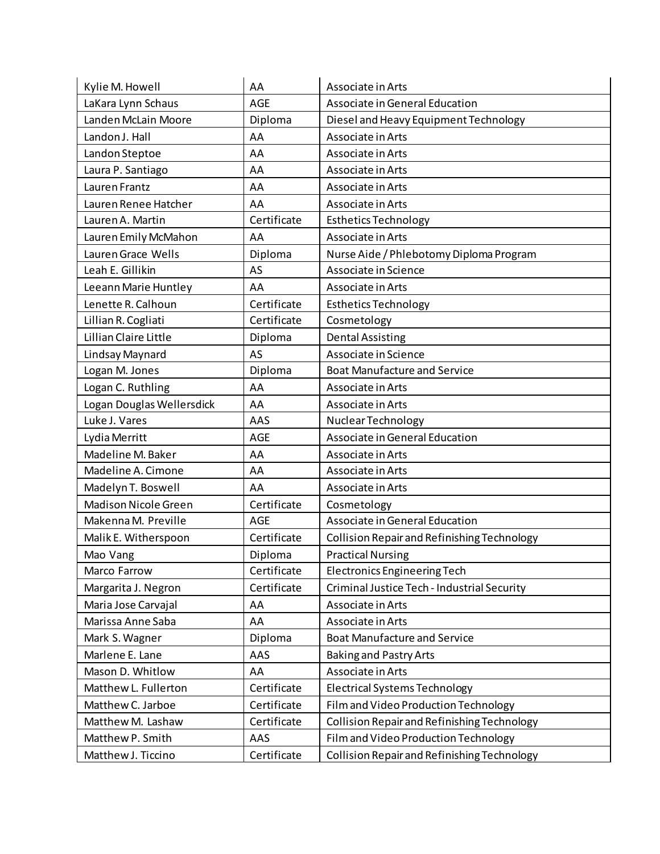| Kylie M. Howell             | AA          | Associate in Arts                           |
|-----------------------------|-------------|---------------------------------------------|
| LaKara Lynn Schaus          | <b>AGE</b>  | Associate in General Education              |
| Landen McLain Moore         | Diploma     | Diesel and Heavy Equipment Technology       |
| Landon J. Hall              | AA          | Associate in Arts                           |
| Landon Steptoe              | AA          | Associate in Arts                           |
| Laura P. Santiago           | AA          | Associate in Arts                           |
| Lauren Frantz               | AA          | Associate in Arts                           |
| Lauren Renee Hatcher        | AA          | Associate in Arts                           |
| Lauren A. Martin            | Certificate | <b>Esthetics Technology</b>                 |
| Lauren Emily McMahon        | AA          | Associate in Arts                           |
| Lauren Grace Wells          | Diploma     | Nurse Aide / Phlebotomy Diploma Program     |
| Leah E. Gillikin            | AS          | Associate in Science                        |
| Leeann Marie Huntley        | AA          | Associate in Arts                           |
| Lenette R. Calhoun          | Certificate | <b>Esthetics Technology</b>                 |
| Lillian R. Cogliati         | Certificate | Cosmetology                                 |
| Lillian Claire Little       | Diploma     | <b>Dental Assisting</b>                     |
| Lindsay Maynard             | AS          | Associate in Science                        |
| Logan M. Jones              | Diploma     | <b>Boat Manufacture and Service</b>         |
| Logan C. Ruthling           | AA          | Associate in Arts                           |
| Logan Douglas Wellersdick   | AA          | Associate in Arts                           |
| Luke J. Vares               | AAS         | Nuclear Technology                          |
| Lydia Merritt               | AGE         | Associate in General Education              |
| Madeline M. Baker           | AA          | Associate in Arts                           |
| Madeline A. Cimone          | AA          | Associate in Arts                           |
| Madelyn T. Boswell          | AA          | Associate in Arts                           |
| <b>Madison Nicole Green</b> | Certificate | Cosmetology                                 |
| Makenna M. Preville         | <b>AGE</b>  | Associate in General Education              |
| Malik E. Witherspoon        | Certificate | Collision Repair and Refinishing Technology |
| Mao Vang                    | Diploma     | <b>Practical Nursing</b>                    |
| Marco Farrow                | Certificate | <b>Electronics Engineering Tech</b>         |
| Margarita J. Negron         | Certificate | Criminal Justice Tech - Industrial Security |
| Maria Jose Carvajal         | AA          | Associate in Arts                           |
| Marissa Anne Saba           | AA          | Associate in Arts                           |
| Mark S. Wagner              | Diploma     | <b>Boat Manufacture and Service</b>         |
| Marlene E. Lane             | AAS         | <b>Baking and Pastry Arts</b>               |
| Mason D. Whitlow            | AA          | Associate in Arts                           |
| Matthew L. Fullerton        | Certificate | <b>Electrical Systems Technology</b>        |
| Matthew C. Jarboe           | Certificate | Film and Video Production Technology        |
| Matthew M. Lashaw           | Certificate | Collision Repair and Refinishing Technology |
| Matthew P. Smith            | AAS         | Film and Video Production Technology        |
| Matthew J. Ticcino          | Certificate | Collision Repair and Refinishing Technology |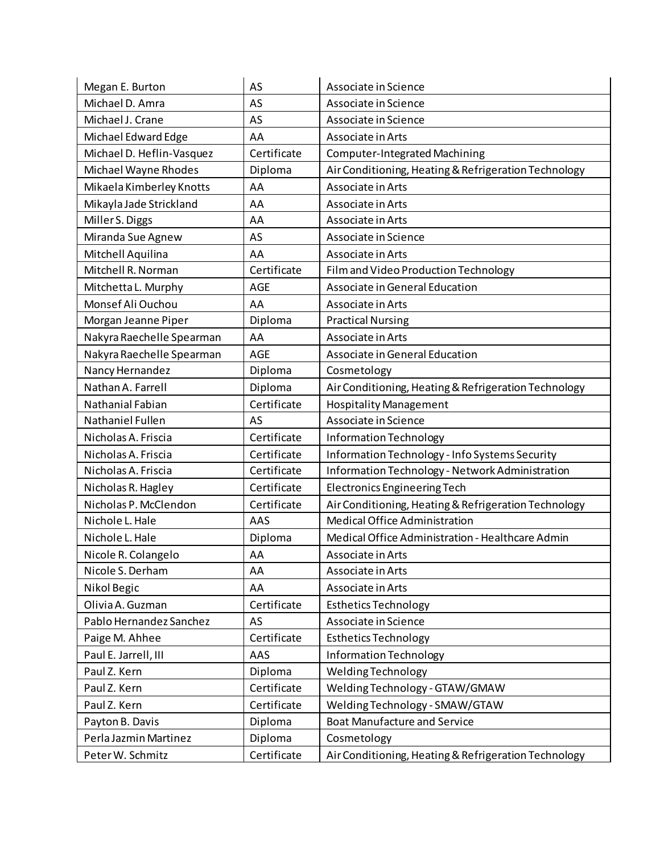| Megan E. Burton           | AS          | Associate in Science                                 |
|---------------------------|-------------|------------------------------------------------------|
| Michael D. Amra           | AS          | Associate in Science                                 |
| Michael J. Crane          | AS          | Associate in Science                                 |
| Michael Edward Edge       | AA          | Associate in Arts                                    |
| Michael D. Heflin-Vasquez | Certificate | Computer-Integrated Machining                        |
| Michael Wayne Rhodes      | Diploma     | Air Conditioning, Heating & Refrigeration Technology |
| Mikaela Kimberley Knotts  | AA          | Associate in Arts                                    |
| Mikayla Jade Strickland   | AA          | Associate in Arts                                    |
| Miller S. Diggs           | AA          | Associate in Arts                                    |
| Miranda Sue Agnew         | AS          | Associate in Science                                 |
| Mitchell Aquilina         | AA          | Associate in Arts                                    |
| Mitchell R. Norman        | Certificate | Film and Video Production Technology                 |
| Mitchetta L. Murphy       | <b>AGE</b>  | Associate in General Education                       |
| Monsef Ali Ouchou         | AA          | Associate in Arts                                    |
| Morgan Jeanne Piper       | Diploma     | <b>Practical Nursing</b>                             |
| Nakyra Raechelle Spearman | AA          | Associate in Arts                                    |
| Nakyra Raechelle Spearman | <b>AGE</b>  | Associate in General Education                       |
| Nancy Hernandez           | Diploma     | Cosmetology                                          |
| Nathan A. Farrell         | Diploma     | Air Conditioning, Heating & Refrigeration Technology |
| <b>Nathanial Fabian</b>   | Certificate | <b>Hospitality Management</b>                        |
| Nathaniel Fullen          | AS          | Associate in Science                                 |
| Nicholas A. Friscia       | Certificate | Information Technology                               |
| Nicholas A. Friscia       | Certificate | Information Technology - Info Systems Security       |
| Nicholas A. Friscia       | Certificate | Information Technology - Network Administration      |
| Nicholas R. Hagley        | Certificate | <b>Electronics Engineering Tech</b>                  |
| Nicholas P. McClendon     | Certificate | Air Conditioning, Heating & Refrigeration Technology |
| Nichole L. Hale           | AAS         | Medical Office Administration                        |
| Nichole L. Hale           | Diploma     | Medical Office Administration - Healthcare Admin     |
| Nicole R. Colangelo       | AA          | Associate in Arts                                    |
| Nicole S. Derham          | AA          | Associate in Arts                                    |
| Nikol Begic               | AA          | Associate in Arts                                    |
| Olivia A. Guzman          | Certificate | <b>Esthetics Technology</b>                          |
| Pablo Hernandez Sanchez   | AS          | Associate in Science                                 |
| Paige M. Ahhee            | Certificate | <b>Esthetics Technology</b>                          |
| Paul E. Jarrell, III      | AAS         | Information Technology                               |
| Paul Z. Kern              | Diploma     | Welding Technology                                   |
| Paul Z. Kern              | Certificate | Welding Technology - GTAW/GMAW                       |
| Paul Z. Kern              | Certificate | Welding Technology - SMAW/GTAW                       |
| Payton B. Davis           | Diploma     | <b>Boat Manufacture and Service</b>                  |
| Perla Jazmin Martinez     | Diploma     | Cosmetology                                          |
| Peter W. Schmitz          | Certificate | Air Conditioning, Heating & Refrigeration Technology |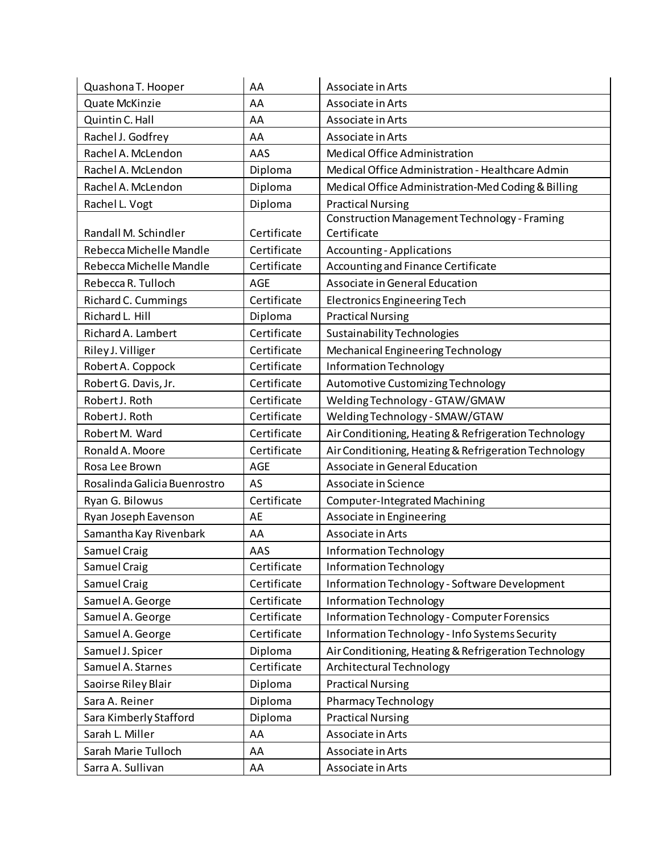| Quashona T. Hooper           | AA          | Associate in Arts                                    |
|------------------------------|-------------|------------------------------------------------------|
| Quate McKinzie               | AA          | Associate in Arts                                    |
| Quintin C. Hall              | AA          | Associate in Arts                                    |
| Rachel J. Godfrey            | AA          | Associate in Arts                                    |
| Rachel A. McLendon           | AAS         | Medical Office Administration                        |
| Rachel A. McLendon           | Diploma     | Medical Office Administration - Healthcare Admin     |
| Rachel A. McLendon           | Diploma     | Medical Office Administration-Med Coding & Billing   |
| Rachel L. Vogt               | Diploma     | <b>Practical Nursing</b>                             |
|                              |             | <b>Construction Management Technology - Framing</b>  |
| Randall M. Schindler         | Certificate | Certificate                                          |
| Rebecca Michelle Mandle      | Certificate | <b>Accounting - Applications</b>                     |
| Rebecca Michelle Mandle      | Certificate | Accounting and Finance Certificate                   |
| Rebecca R. Tulloch           | AGE         | Associate in General Education                       |
| Richard C. Cummings          | Certificate | <b>Electronics Engineering Tech</b>                  |
| Richard L. Hill              | Diploma     | <b>Practical Nursing</b>                             |
| Richard A. Lambert           | Certificate | Sustainability Technologies                          |
| Riley J. Villiger            | Certificate | Mechanical Engineering Technology                    |
| Robert A. Coppock            | Certificate | <b>Information Technology</b>                        |
| Robert G. Davis, Jr.         | Certificate | Automotive Customizing Technology                    |
| Robert J. Roth               | Certificate | Welding Technology - GTAW/GMAW                       |
| Robert J. Roth               | Certificate | Welding Technology - SMAW/GTAW                       |
| Robert M. Ward               | Certificate | Air Conditioning, Heating & Refrigeration Technology |
| Ronald A. Moore              | Certificate | Air Conditioning, Heating & Refrigeration Technology |
| Rosa Lee Brown               | AGE         | Associate in General Education                       |
| Rosalinda Galicia Buenrostro | AS          | Associate in Science                                 |
| Ryan G. Bilowus              | Certificate | <b>Computer-Integrated Machining</b>                 |
| Ryan Joseph Eavenson         | AE          | Associate in Engineering                             |
| Samantha Kay Rivenbark       | AA          | Associate in Arts                                    |
| Samuel Craig                 | AAS         | Information Technology                               |
| Samuel Craig                 | Certificate | <b>Information Technology</b>                        |
| Samuel Craig                 | Certificate | Information Technology - Software Development        |
| Samuel A. George             | Certificate | <b>Information Technology</b>                        |
| Samuel A. George             | Certificate | <b>Information Technology - Computer Forensics</b>   |
| Samuel A. George             | Certificate | Information Technology - Info Systems Security       |
| Samuel J. Spicer             | Diploma     | Air Conditioning, Heating & Refrigeration Technology |
| Samuel A. Starnes            | Certificate | Architectural Technology                             |
| Saoirse Riley Blair          | Diploma     | <b>Practical Nursing</b>                             |
| Sara A. Reiner               | Diploma     | <b>Pharmacy Technology</b>                           |
| Sara Kimberly Stafford       | Diploma     | <b>Practical Nursing</b>                             |
| Sarah L. Miller              | AA          | Associate in Arts                                    |
| Sarah Marie Tulloch          | AA          | Associate in Arts                                    |
| Sarra A. Sullivan            | AA          | Associate in Arts                                    |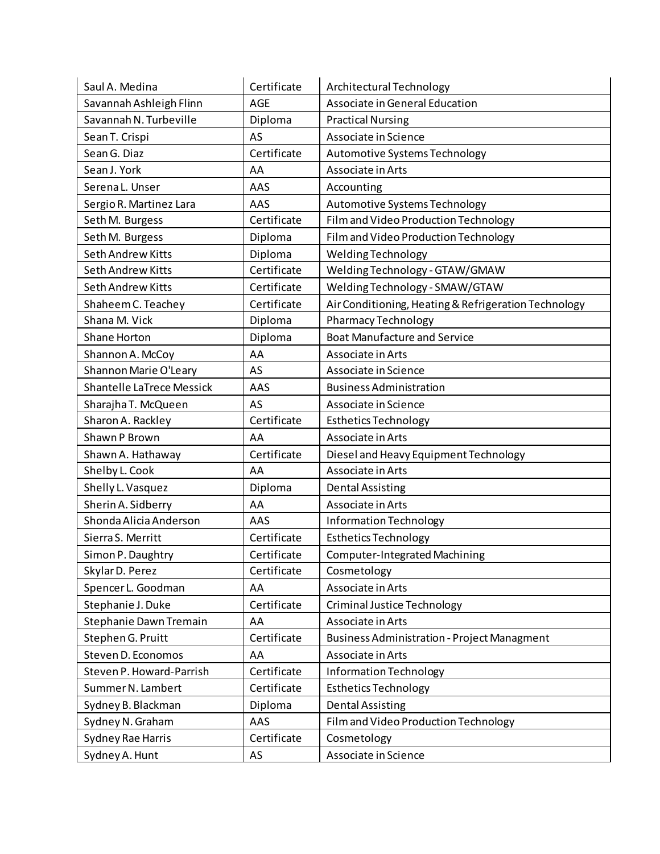| Saul A. Medina                   | Certificate | Architectural Technology                             |
|----------------------------------|-------------|------------------------------------------------------|
| Savannah Ashleigh Flinn          | <b>AGE</b>  | Associate in General Education                       |
| Savannah N. Turbeville           | Diploma     | <b>Practical Nursing</b>                             |
| Sean T. Crispi                   | AS          | Associate in Science                                 |
| Sean G. Diaz                     | Certificate | Automotive Systems Technology                        |
| Sean J. York                     | AA          | Associate in Arts                                    |
| Serena L. Unser                  | AAS         | Accounting                                           |
| Sergio R. Martinez Lara          | AAS         | Automotive Systems Technology                        |
| Seth M. Burgess                  | Certificate | Film and Video Production Technology                 |
| Seth M. Burgess                  | Diploma     | Film and Video Production Technology                 |
| Seth Andrew Kitts                | Diploma     | Welding Technology                                   |
| <b>Seth Andrew Kitts</b>         | Certificate | Welding Technology - GTAW/GMAW                       |
| <b>Seth Andrew Kitts</b>         | Certificate | Welding Technology - SMAW/GTAW                       |
| Shaheem C. Teachey               | Certificate | Air Conditioning, Heating & Refrigeration Technology |
| Shana M. Vick                    | Diploma     | <b>Pharmacy Technology</b>                           |
| Shane Horton                     | Diploma     | <b>Boat Manufacture and Service</b>                  |
| Shannon A. McCoy                 | AA          | Associate in Arts                                    |
| Shannon Marie O'Leary            | AS          | Associate in Science                                 |
| <b>Shantelle LaTrece Messick</b> | AAS         | <b>Business Administration</b>                       |
| Sharajha T. McQueen              | AS          | Associate in Science                                 |
| Sharon A. Rackley                | Certificate | <b>Esthetics Technology</b>                          |
| Shawn P Brown                    | AA          | Associate in Arts                                    |
| Shawn A. Hathaway                | Certificate | Diesel and Heavy Equipment Technology                |
| Shelby L. Cook                   | AA          | Associate in Arts                                    |
| Shelly L. Vasquez                | Diploma     | <b>Dental Assisting</b>                              |
| Sherin A. Sidberry               | AA          | Associate in Arts                                    |
| Shonda Alicia Anderson           | AAS         | Information Technology                               |
| Sierra S. Merritt                | Certificate | <b>Esthetics Technology</b>                          |
| Simon P. Daughtry                | Certificate | Computer-Integrated Machining                        |
| Skylar D. Perez                  | Certificate | Cosmetology                                          |
| Spencer L. Goodman               | AA          | Associate in Arts                                    |
| Stephanie J. Duke                | Certificate | Criminal Justice Technology                          |
| Stephanie Dawn Tremain           | AA          | Associate in Arts                                    |
| Stephen G. Pruitt                | Certificate | <b>Business Administration - Project Managment</b>   |
| Steven D. Economos               | AA          | Associate in Arts                                    |
| Steven P. Howard-Parrish         | Certificate | Information Technology                               |
| Summer N. Lambert                | Certificate | <b>Esthetics Technology</b>                          |
| Sydney B. Blackman               | Diploma     | <b>Dental Assisting</b>                              |
| Sydney N. Graham                 | AAS         | Film and Video Production Technology                 |
| Sydney Rae Harris                | Certificate | Cosmetology                                          |
| Sydney A. Hunt                   | AS          | Associate in Science                                 |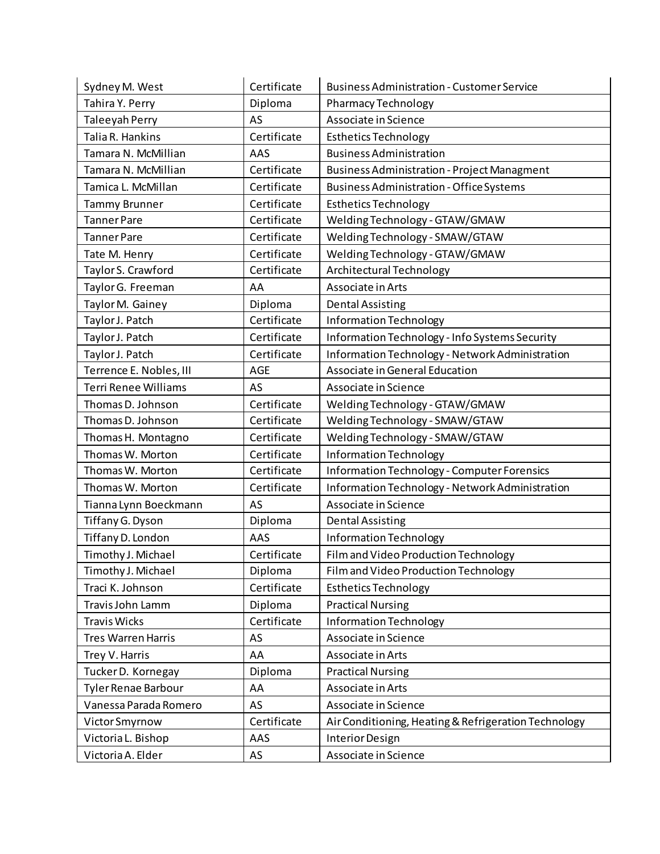| Sydney M. West              | Certificate | <b>Business Administration - Customer Service</b>    |
|-----------------------------|-------------|------------------------------------------------------|
| Tahira Y. Perry             | Diploma     | <b>Pharmacy Technology</b>                           |
| Taleeyah Perry              | AS          | Associate in Science                                 |
| Talia R. Hankins            | Certificate | <b>Esthetics Technology</b>                          |
| Tamara N. McMillian         | AAS         | <b>Business Administration</b>                       |
| Tamara N. McMillian         | Certificate | <b>Business Administration - Project Managment</b>   |
| Tamica L. McMillan          | Certificate | <b>Business Administration - Office Systems</b>      |
| <b>Tammy Brunner</b>        | Certificate | <b>Esthetics Technology</b>                          |
| <b>Tanner Pare</b>          | Certificate | Welding Technology - GTAW/GMAW                       |
| <b>Tanner Pare</b>          | Certificate | Welding Technology - SMAW/GTAW                       |
| Tate M. Henry               | Certificate | Welding Technology - GTAW/GMAW                       |
| Taylor S. Crawford          | Certificate | Architectural Technology                             |
| Taylor G. Freeman           | AA          | Associate in Arts                                    |
| Taylor M. Gainey            | Diploma     | <b>Dental Assisting</b>                              |
| Taylor J. Patch             | Certificate | <b>Information Technology</b>                        |
| Taylor J. Patch             | Certificate | Information Technology - Info Systems Security       |
| Taylor J. Patch             | Certificate | Information Technology - Network Administration      |
| Terrence E. Nobles, III     | AGE         | Associate in General Education                       |
| <b>Terri Renee Williams</b> | AS          | Associate in Science                                 |
| Thomas D. Johnson           | Certificate | Welding Technology - GTAW/GMAW                       |
| Thomas D. Johnson           | Certificate | Welding Technology - SMAW/GTAW                       |
| Thomas H. Montagno          | Certificate | Welding Technology - SMAW/GTAW                       |
| Thomas W. Morton            | Certificate | <b>Information Technology</b>                        |
| Thomas W. Morton            | Certificate | Information Technology - Computer Forensics          |
| Thomas W. Morton            | Certificate | Information Technology - Network Administration      |
| Tianna Lynn Boeckmann       | AS          | Associate in Science                                 |
| Tiffany G. Dyson            | Diploma     | <b>Dental Assisting</b>                              |
| Tiffany D. London           | AAS         | Information Technology                               |
| Timothy J. Michael          | Certificate | Film and Video Production Technology                 |
| Timothy J. Michael          | Diploma     | Film and Video Production Technology                 |
| Traci K. Johnson            | Certificate | <b>Esthetics Technology</b>                          |
| Travis John Lamm            | Diploma     | <b>Practical Nursing</b>                             |
| <b>Travis Wicks</b>         | Certificate | Information Technology                               |
| <b>Tres Warren Harris</b>   | AS          | Associate in Science                                 |
| Trey V. Harris              | AA          | Associate in Arts                                    |
| Tucker D. Kornegay          | Diploma     | <b>Practical Nursing</b>                             |
| <b>Tyler Renae Barbour</b>  | AA          | Associate in Arts                                    |
| Vanessa Parada Romero       | AS          | Associate in Science                                 |
| Victor Smyrnow              | Certificate | Air Conditioning, Heating & Refrigeration Technology |
| Victoria L. Bishop          | AAS         | Interior Design                                      |
| Victoria A. Elder           | AS          | Associate in Science                                 |